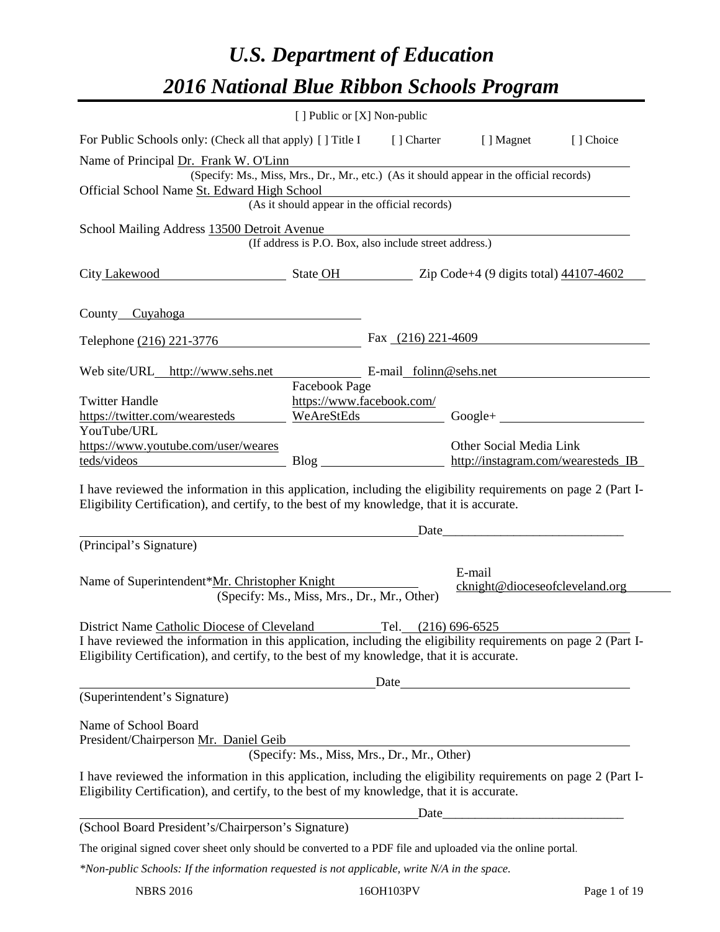# *U.S. Department of Education 2016 National Blue Ribbon Schools Program*

|                                                                                                                                                                                                              | [ ] Public or [X] Non-public                           |  |             |                                          |           |
|--------------------------------------------------------------------------------------------------------------------------------------------------------------------------------------------------------------|--------------------------------------------------------|--|-------------|------------------------------------------|-----------|
| For Public Schools only: (Check all that apply) [] Title I                                                                                                                                                   |                                                        |  | [ ] Charter | [ ] Magnet                               | [] Choice |
| Name of Principal Dr. Frank W. O'Linn                                                                                                                                                                        |                                                        |  |             |                                          |           |
| (Specify: Ms., Miss, Mrs., Dr., Mr., etc.) (As it should appear in the official records)                                                                                                                     |                                                        |  |             |                                          |           |
| Official School Name St. Edward High School                                                                                                                                                                  | (As it should appear in the official records)          |  |             |                                          |           |
|                                                                                                                                                                                                              |                                                        |  |             |                                          |           |
| School Mailing Address 13500 Detroit Avenue                                                                                                                                                                  |                                                        |  |             |                                          |           |
|                                                                                                                                                                                                              | (If address is P.O. Box, also include street address.) |  |             |                                          |           |
| City Lakewood State OH 2ip Code+4 (9 digits total) 44107-4602                                                                                                                                                |                                                        |  |             |                                          |           |
| County Cuyahoga                                                                                                                                                                                              |                                                        |  |             |                                          |           |
| Telephone (216) 221-3776                                                                                                                                                                                     |                                                        |  |             | Fax $(216)$ 221-4609                     |           |
| Web site/URL http://www.sehs.net                                                                                                                                                                             |                                                        |  |             | E-mail folinn@sehs.net                   |           |
|                                                                                                                                                                                                              | Facebook Page                                          |  |             |                                          |           |
| <b>Twitter Handle</b>                                                                                                                                                                                        | https://www.facebook.com/                              |  |             |                                          |           |
| https://twitter.com/wearesteds                                                                                                                                                                               | WeAreStEds                                             |  |             | $Google +$                               |           |
| YouTube/URL                                                                                                                                                                                                  |                                                        |  |             |                                          |           |
| https://www.youtube.com/user/weares                                                                                                                                                                          |                                                        |  |             | Other Social Media Link                  |           |
| teds/videos entrancements and the set of the set of the set of the set of the set of the set of the set of the                                                                                               |                                                        |  |             | http://instagram.com/wearesteds_IB       |           |
| Eligibility Certification), and certify, to the best of my knowledge, that it is accurate.                                                                                                                   |                                                        |  | Date        |                                          |           |
| (Principal's Signature)                                                                                                                                                                                      |                                                        |  |             |                                          |           |
| Name of Superintendent*Mr. Christopher Knight                                                                                                                                                                | (Specify: Ms., Miss, Mrs., Dr., Mr., Other)            |  |             | E-mail<br>cknight@dioceseofcleveland.org |           |
| District Name Catholic Diocese of Cleveland                                                                                                                                                                  |                                                        |  |             | Tel. (216) 696-6525                      |           |
| I have reviewed the information in this application, including the eligibility requirements on page 2 (Part I-<br>Eligibility Certification), and certify, to the best of my knowledge, that it is accurate. |                                                        |  |             |                                          |           |
|                                                                                                                                                                                                              |                                                        |  |             | Date                                     |           |
| (Superintendent's Signature)                                                                                                                                                                                 |                                                        |  |             |                                          |           |
| Name of School Board<br>President/Chairperson Mr. Daniel Geib                                                                                                                                                |                                                        |  |             |                                          |           |
|                                                                                                                                                                                                              | (Specify: Ms., Miss, Mrs., Dr., Mr., Other)            |  |             |                                          |           |
| I have reviewed the information in this application, including the eligibility requirements on page 2 (Part I-<br>Eligibility Certification), and certify, to the best of my knowledge, that it is accurate. |                                                        |  |             |                                          |           |
|                                                                                                                                                                                                              |                                                        |  |             |                                          |           |
| (School Board President's/Chairperson's Signature)                                                                                                                                                           |                                                        |  |             |                                          |           |
| The original signed cover sheet only should be converted to a PDF file and uploaded via the online portal.                                                                                                   |                                                        |  |             |                                          |           |
| *Non-public Schools: If the information requested is not applicable, write N/A in the space.                                                                                                                 |                                                        |  |             |                                          |           |

NBRS 2016 16OH103PV Page 1 of 19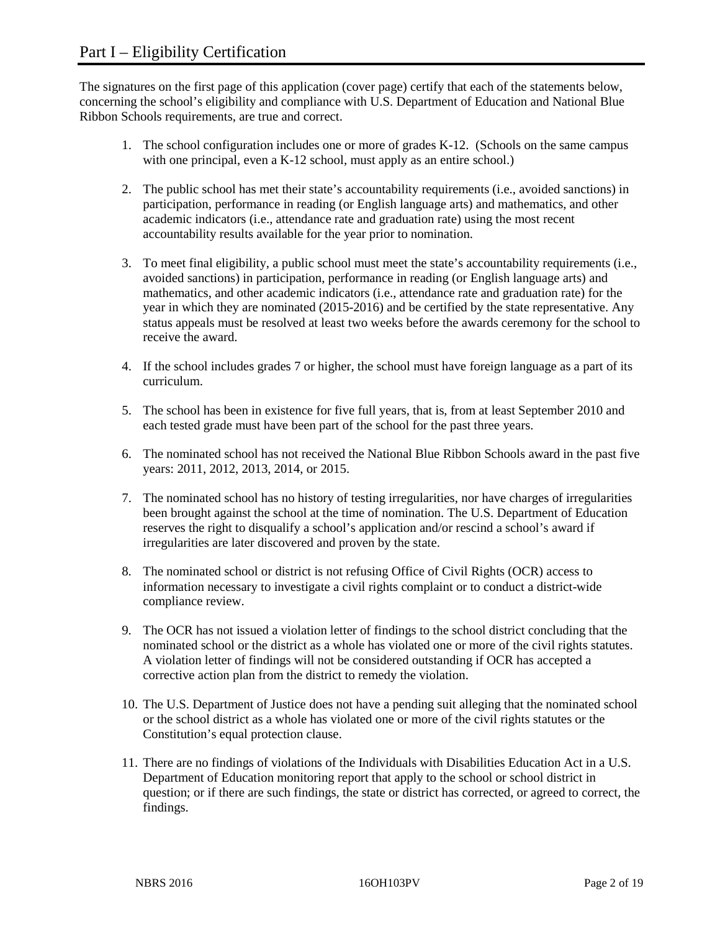The signatures on the first page of this application (cover page) certify that each of the statements below, concerning the school's eligibility and compliance with U.S. Department of Education and National Blue Ribbon Schools requirements, are true and correct.

- 1. The school configuration includes one or more of grades K-12. (Schools on the same campus with one principal, even a K-12 school, must apply as an entire school.)
- 2. The public school has met their state's accountability requirements (i.e., avoided sanctions) in participation, performance in reading (or English language arts) and mathematics, and other academic indicators (i.e., attendance rate and graduation rate) using the most recent accountability results available for the year prior to nomination.
- 3. To meet final eligibility, a public school must meet the state's accountability requirements (i.e., avoided sanctions) in participation, performance in reading (or English language arts) and mathematics, and other academic indicators (i.e., attendance rate and graduation rate) for the year in which they are nominated (2015-2016) and be certified by the state representative. Any status appeals must be resolved at least two weeks before the awards ceremony for the school to receive the award.
- 4. If the school includes grades 7 or higher, the school must have foreign language as a part of its curriculum.
- 5. The school has been in existence for five full years, that is, from at least September 2010 and each tested grade must have been part of the school for the past three years.
- 6. The nominated school has not received the National Blue Ribbon Schools award in the past five years: 2011, 2012, 2013, 2014, or 2015.
- 7. The nominated school has no history of testing irregularities, nor have charges of irregularities been brought against the school at the time of nomination. The U.S. Department of Education reserves the right to disqualify a school's application and/or rescind a school's award if irregularities are later discovered and proven by the state.
- 8. The nominated school or district is not refusing Office of Civil Rights (OCR) access to information necessary to investigate a civil rights complaint or to conduct a district-wide compliance review.
- 9. The OCR has not issued a violation letter of findings to the school district concluding that the nominated school or the district as a whole has violated one or more of the civil rights statutes. A violation letter of findings will not be considered outstanding if OCR has accepted a corrective action plan from the district to remedy the violation.
- 10. The U.S. Department of Justice does not have a pending suit alleging that the nominated school or the school district as a whole has violated one or more of the civil rights statutes or the Constitution's equal protection clause.
- 11. There are no findings of violations of the Individuals with Disabilities Education Act in a U.S. Department of Education monitoring report that apply to the school or school district in question; or if there are such findings, the state or district has corrected, or agreed to correct, the findings.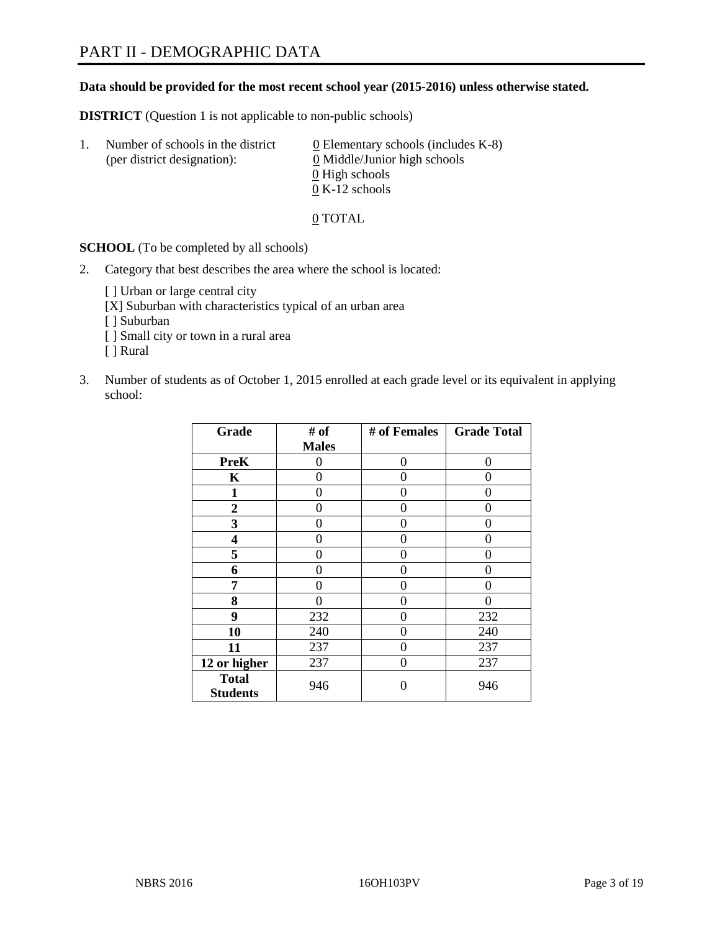#### **Data should be provided for the most recent school year (2015-2016) unless otherwise stated.**

**DISTRICT** (Question 1 is not applicable to non-public schools)

| Ι. | Number of schools in the district<br>(per district designation): | $\underline{0}$ Elementary schools (includes K-8)<br>0 Middle/Junior high schools<br>0 High schools |
|----|------------------------------------------------------------------|-----------------------------------------------------------------------------------------------------|
|    |                                                                  | $0 K-12$ schools                                                                                    |

0 TOTAL

**SCHOOL** (To be completed by all schools)

2. Category that best describes the area where the school is located:

[] Urban or large central city [X] Suburban with characteristics typical of an urban area [ ] Suburban [ ] Small city or town in a rural area [ ] Rural

3. Number of students as of October 1, 2015 enrolled at each grade level or its equivalent in applying school:

| Grade                           | # of         | # of Females | <b>Grade Total</b> |
|---------------------------------|--------------|--------------|--------------------|
|                                 | <b>Males</b> |              |                    |
| <b>PreK</b>                     | 0            | 0            | 0                  |
| K                               | 0            | 0            | 0                  |
| $\mathbf{1}$                    | 0            | 0            | 0                  |
| $\overline{2}$                  | 0            | 0            | 0                  |
| 3                               | 0            | 0            | 0                  |
| 4                               | 0            | 0            | 0                  |
| 5                               | 0            | 0            | $\mathbf{\Omega}$  |
| 6                               | 0            | 0            | 0                  |
| 7                               | 0            | 0            | 0                  |
| 8                               | 0            | 0            | 0                  |
| 9                               | 232          | 0            | 232                |
| 10                              | 240          | 0            | 240                |
| 11                              | 237          | 0            | 237                |
| 12 or higher                    | 237          | 0            | 237                |
| <b>Total</b><br><b>Students</b> | 946          | 0            | 946                |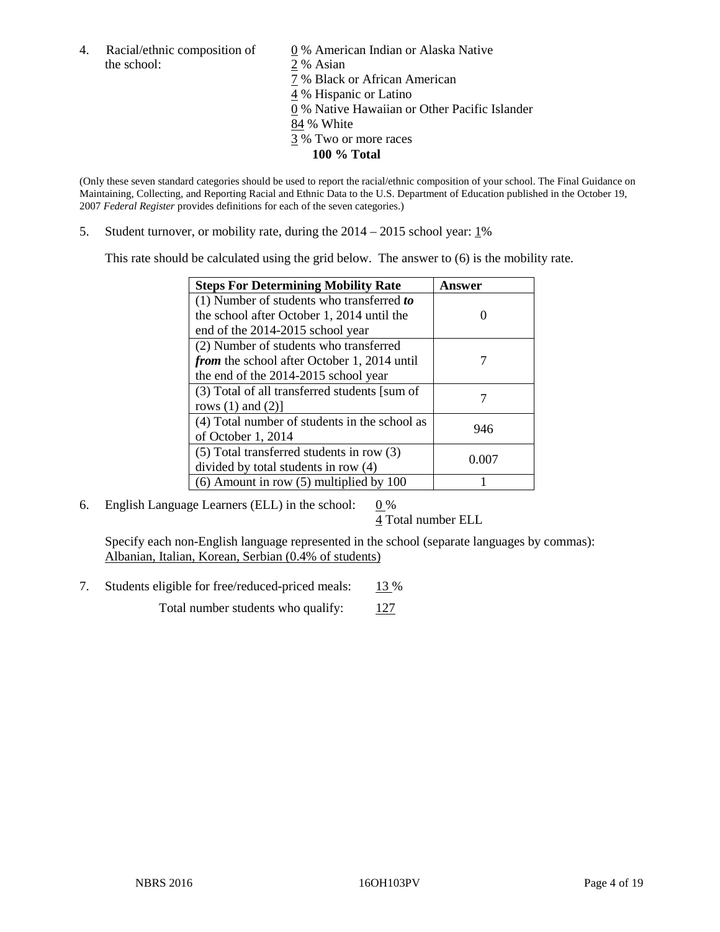4. Racial/ethnic composition of  $\frac{0}{2}$ % American Indian or Alaska Native the school:  $\frac{2}{3}$ % Asian 2 % Asian 7 % Black or African American 4 % Hispanic or Latino 0 % Native Hawaiian or Other Pacific Islander 84 % White 3 % Two or more races

**100 % Total**

(Only these seven standard categories should be used to report the racial/ethnic composition of your school. The Final Guidance on Maintaining, Collecting, and Reporting Racial and Ethnic Data to the U.S. Department of Education published in the October 19, 2007 *Federal Register* provides definitions for each of the seven categories.)

5. Student turnover, or mobility rate, during the  $2014 - 2015$  school year:  $1\%$ 

This rate should be calculated using the grid below. The answer to (6) is the mobility rate.

| <b>Steps For Determining Mobility Rate</b>         | Answer |
|----------------------------------------------------|--------|
| (1) Number of students who transferred to          |        |
| the school after October 1, 2014 until the         |        |
| end of the 2014-2015 school year                   |        |
| (2) Number of students who transferred             |        |
| <i>from</i> the school after October 1, 2014 until |        |
| the end of the 2014-2015 school year               |        |
| (3) Total of all transferred students [sum of      |        |
| rows $(1)$ and $(2)$ ]                             |        |
| (4) Total number of students in the school as      | 946    |
| of October 1, 2014                                 |        |
| $(5)$ Total transferred students in row $(3)$      | 0.007  |
| divided by total students in row (4)               |        |
| $(6)$ Amount in row $(5)$ multiplied by 100        |        |

6. English Language Learners (ELL) in the school:  $0\%$ 

4 Total number ELL

Specify each non-English language represented in the school (separate languages by commas): Albanian, Italian, Korean, Serbian (0.4% of students)

7. Students eligible for free/reduced-priced meals: 13 %

Total number students who qualify:  $127$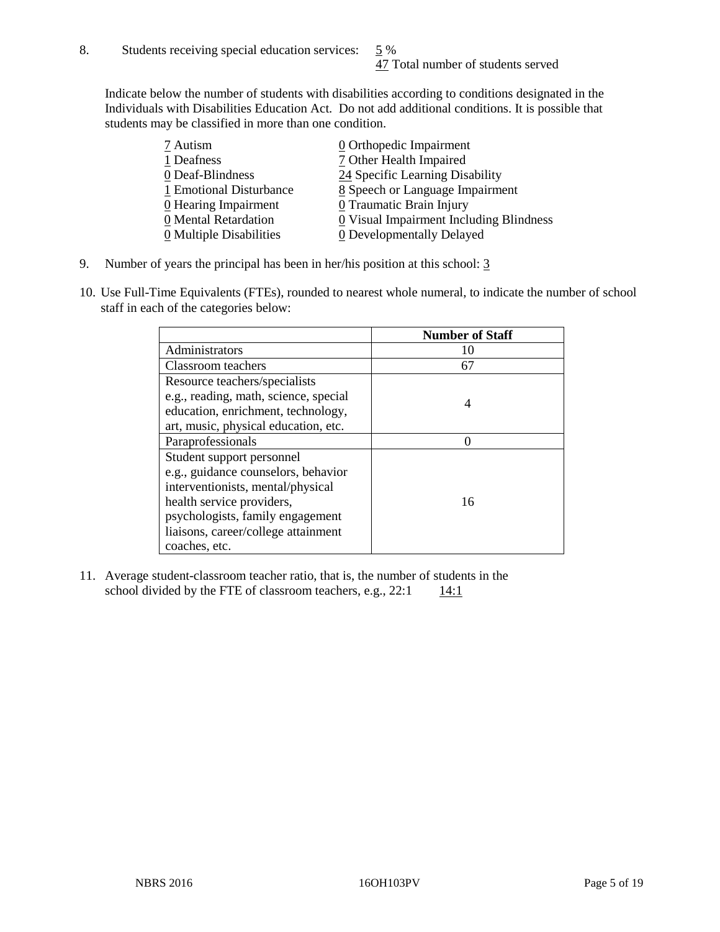Indicate below the number of students with disabilities according to conditions designated in the Individuals with Disabilities Education Act. Do not add additional conditions. It is possible that students may be classified in more than one condition.

| 7 Autism                              | $\underline{0}$ Orthopedic Impairment     |
|---------------------------------------|-------------------------------------------|
| 1 Deafness                            | 7 Other Health Impaired                   |
| 0 Deaf-Blindness                      | 24 Specific Learning Disability           |
| 1 Emotional Disturbance               | 8 Speech or Language Impairment           |
| 0 Hearing Impairment                  | 0 Traumatic Brain Injury                  |
| 0 Mental Retardation                  | $0$ Visual Impairment Including Blindness |
| $\underline{0}$ Multiple Disabilities | <b>0</b> Developmentally Delayed          |

- 9. Number of years the principal has been in her/his position at this school: 3
- 10. Use Full-Time Equivalents (FTEs), rounded to nearest whole numeral, to indicate the number of school staff in each of the categories below:

|                                       | <b>Number of Staff</b> |
|---------------------------------------|------------------------|
| Administrators                        | 10                     |
| Classroom teachers                    | 67                     |
| Resource teachers/specialists         |                        |
| e.g., reading, math, science, special | 4                      |
| education, enrichment, technology,    |                        |
| art, music, physical education, etc.  |                        |
| Paraprofessionals                     |                        |
| Student support personnel             |                        |
| e.g., guidance counselors, behavior   |                        |
| interventionists, mental/physical     |                        |
| health service providers,             | 16                     |
| psychologists, family engagement      |                        |
| liaisons, career/college attainment   |                        |
| coaches, etc.                         |                        |

11. Average student-classroom teacher ratio, that is, the number of students in the school divided by the FTE of classroom teachers, e.g.,  $22:1$  14:1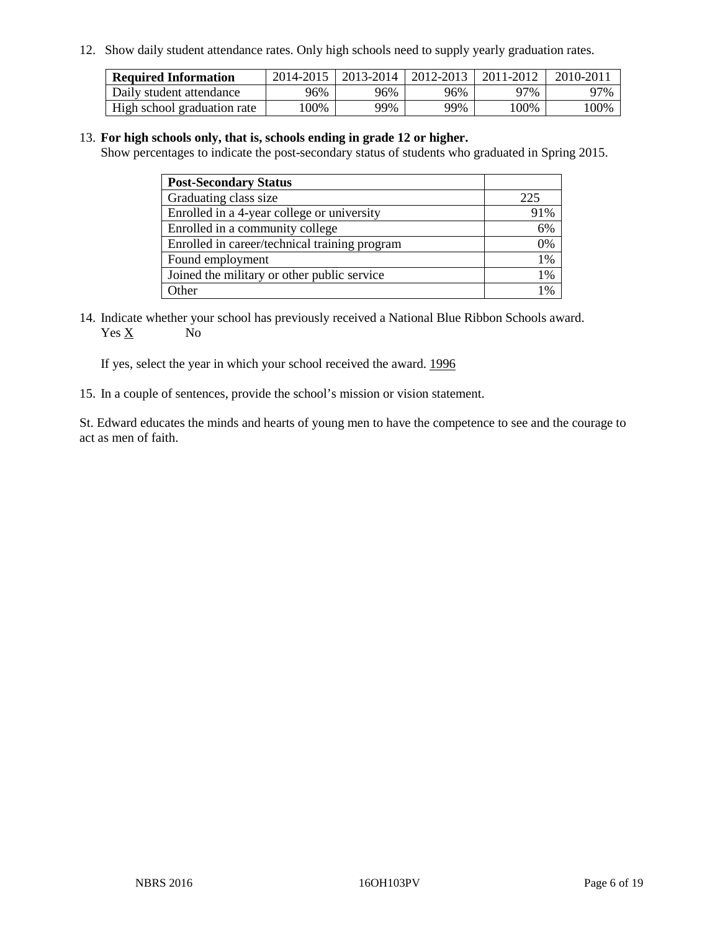12. Show daily student attendance rates. Only high schools need to supply yearly graduation rates.

| <b>Required Information</b> |      | 2014-2015   2013-2014   2012-2013 |     | 2011-2012 | 2010-2011 |
|-----------------------------|------|-----------------------------------|-----|-----------|-----------|
| Daily student attendance    | 96%  | 96%                               | 96% | 97%       | 97%       |
| High school graduation rate | .00% | 99%                               | 99% | 100%      | '00%      |

#### 13. **For high schools only, that is, schools ending in grade 12 or higher.**

Show percentages to indicate the post-secondary status of students who graduated in Spring 2015.

| <b>Post-Secondary Status</b>                  |       |
|-----------------------------------------------|-------|
| Graduating class size                         | 225   |
| Enrolled in a 4-year college or university    | 91%   |
| Enrolled in a community college               | 6%    |
| Enrolled in career/technical training program | 0%    |
| Found employment                              | $1\%$ |
| Joined the military or other public service   | 1%    |
| Other                                         | $1\%$ |

14. Indicate whether your school has previously received a National Blue Ribbon Schools award. Yes X No

If yes, select the year in which your school received the award. 1996

15. In a couple of sentences, provide the school's mission or vision statement.

St. Edward educates the minds and hearts of young men to have the competence to see and the courage to act as men of faith.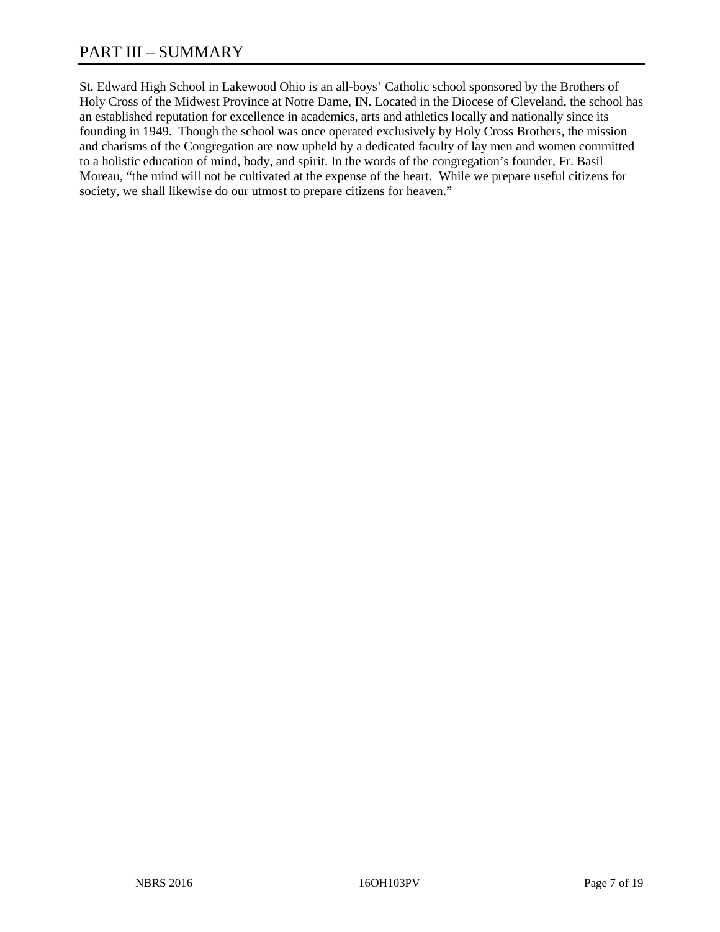St. Edward High School in Lakewood Ohio is an all-boys' Catholic school sponsored by the Brothers of Holy Cross of the Midwest Province at Notre Dame, IN. Located in the Diocese of Cleveland, the school has an established reputation for excellence in academics, arts and athletics locally and nationally since its founding in 1949. Though the school was once operated exclusively by Holy Cross Brothers, the mission and charisms of the Congregation are now upheld by a dedicated faculty of lay men and women committed to a holistic education of mind, body, and spirit. In the words of the congregation's founder, Fr. Basil Moreau, "the mind will not be cultivated at the expense of the heart. While we prepare useful citizens for society, we shall likewise do our utmost to prepare citizens for heaven."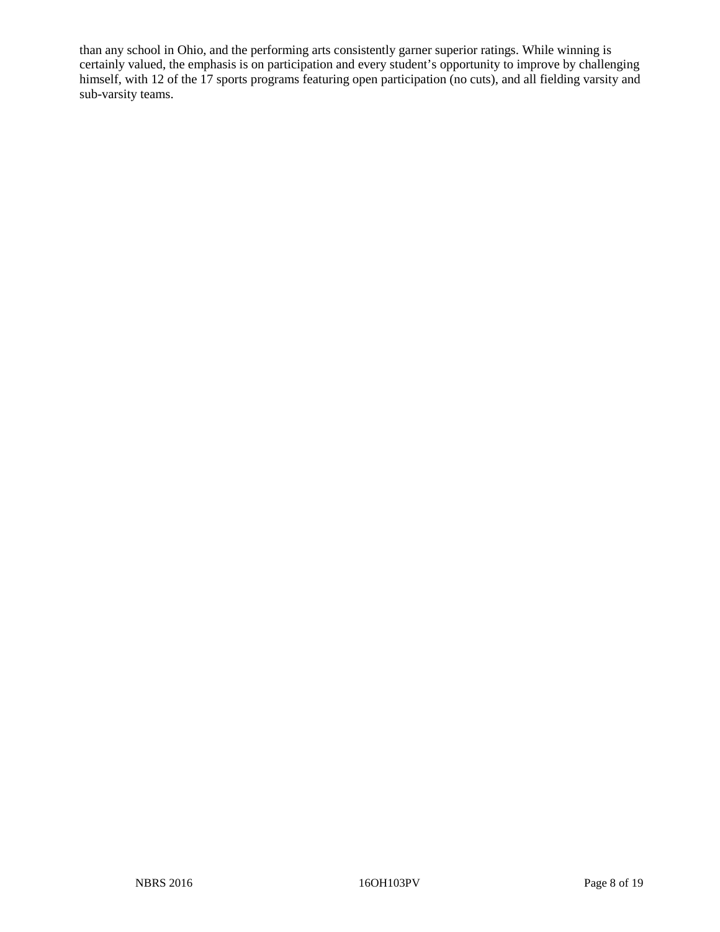than any school in Ohio, and the performing arts consistently garner superior ratings. While winning is certainly valued, the emphasis is on participation and every student's opportunity to improve by challenging himself, with 12 of the 17 sports programs featuring open participation (no cuts), and all fielding varsity and sub-varsity teams.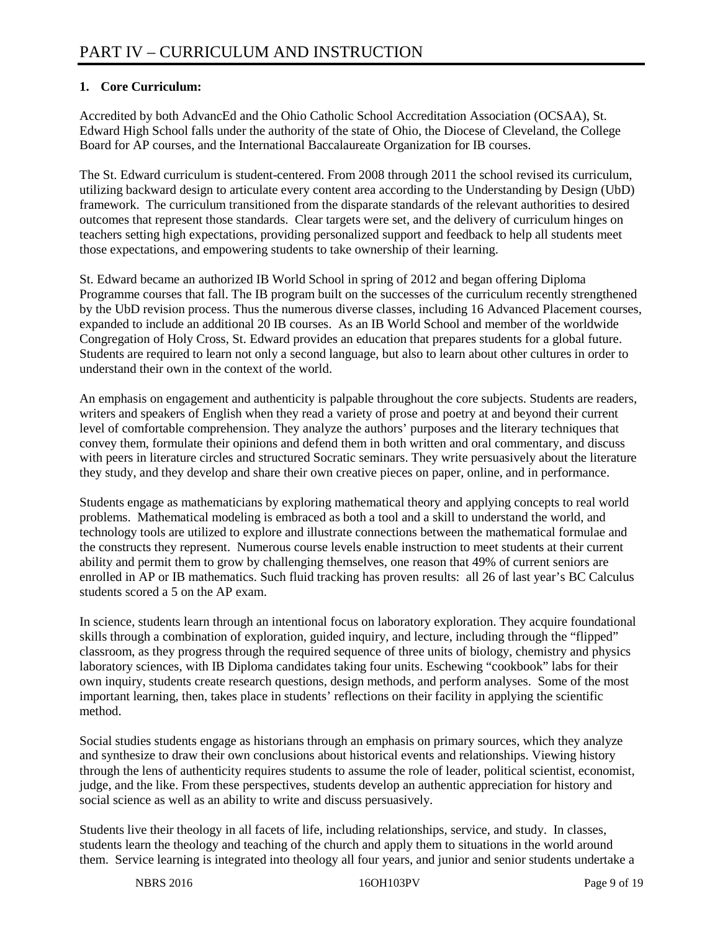# **1. Core Curriculum:**

Accredited by both AdvancEd and the Ohio Catholic School Accreditation Association (OCSAA), St. Edward High School falls under the authority of the state of Ohio, the Diocese of Cleveland, the College Board for AP courses, and the International Baccalaureate Organization for IB courses.

The St. Edward curriculum is student-centered. From 2008 through 2011 the school revised its curriculum, utilizing backward design to articulate every content area according to the Understanding by Design (UbD) framework. The curriculum transitioned from the disparate standards of the relevant authorities to desired outcomes that represent those standards. Clear targets were set, and the delivery of curriculum hinges on teachers setting high expectations, providing personalized support and feedback to help all students meet those expectations, and empowering students to take ownership of their learning.

St. Edward became an authorized IB World School in spring of 2012 and began offering Diploma Programme courses that fall. The IB program built on the successes of the curriculum recently strengthened by the UbD revision process. Thus the numerous diverse classes, including 16 Advanced Placement courses, expanded to include an additional 20 IB courses. As an IB World School and member of the worldwide Congregation of Holy Cross, St. Edward provides an education that prepares students for a global future. Students are required to learn not only a second language, but also to learn about other cultures in order to understand their own in the context of the world.

An emphasis on engagement and authenticity is palpable throughout the core subjects. Students are readers, writers and speakers of English when they read a variety of prose and poetry at and beyond their current level of comfortable comprehension. They analyze the authors' purposes and the literary techniques that convey them, formulate their opinions and defend them in both written and oral commentary, and discuss with peers in literature circles and structured Socratic seminars. They write persuasively about the literature they study, and they develop and share their own creative pieces on paper, online, and in performance.

Students engage as mathematicians by exploring mathematical theory and applying concepts to real world problems. Mathematical modeling is embraced as both a tool and a skill to understand the world, and technology tools are utilized to explore and illustrate connections between the mathematical formulae and the constructs they represent. Numerous course levels enable instruction to meet students at their current ability and permit them to grow by challenging themselves, one reason that 49% of current seniors are enrolled in AP or IB mathematics. Such fluid tracking has proven results: all 26 of last year's BC Calculus students scored a 5 on the AP exam.

In science, students learn through an intentional focus on laboratory exploration. They acquire foundational skills through a combination of exploration, guided inquiry, and lecture, including through the "flipped" classroom, as they progress through the required sequence of three units of biology, chemistry and physics laboratory sciences, with IB Diploma candidates taking four units. Eschewing "cookbook" labs for their own inquiry, students create research questions, design methods, and perform analyses. Some of the most important learning, then, takes place in students' reflections on their facility in applying the scientific method.

Social studies students engage as historians through an emphasis on primary sources, which they analyze and synthesize to draw their own conclusions about historical events and relationships. Viewing history through the lens of authenticity requires students to assume the role of leader, political scientist, economist, judge, and the like. From these perspectives, students develop an authentic appreciation for history and social science as well as an ability to write and discuss persuasively.

Students live their theology in all facets of life, including relationships, service, and study. In classes, students learn the theology and teaching of the church and apply them to situations in the world around them. Service learning is integrated into theology all four years, and junior and senior students undertake a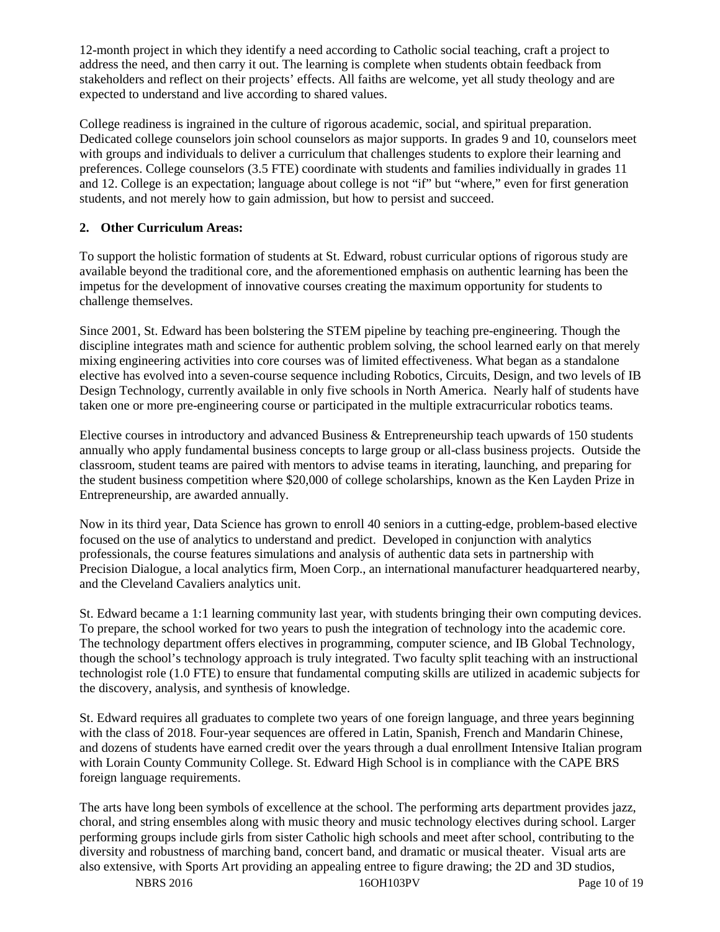12-month project in which they identify a need according to Catholic social teaching, craft a project to address the need, and then carry it out. The learning is complete when students obtain feedback from stakeholders and reflect on their projects' effects. All faiths are welcome, yet all study theology and are expected to understand and live according to shared values.

College readiness is ingrained in the culture of rigorous academic, social, and spiritual preparation. Dedicated college counselors join school counselors as major supports. In grades 9 and 10, counselors meet with groups and individuals to deliver a curriculum that challenges students to explore their learning and preferences. College counselors (3.5 FTE) coordinate with students and families individually in grades 11 and 12. College is an expectation; language about college is not "if" but "where," even for first generation students, and not merely how to gain admission, but how to persist and succeed.

# **2. Other Curriculum Areas:**

To support the holistic formation of students at St. Edward, robust curricular options of rigorous study are available beyond the traditional core, and the aforementioned emphasis on authentic learning has been the impetus for the development of innovative courses creating the maximum opportunity for students to challenge themselves.

Since 2001, St. Edward has been bolstering the STEM pipeline by teaching pre-engineering. Though the discipline integrates math and science for authentic problem solving, the school learned early on that merely mixing engineering activities into core courses was of limited effectiveness. What began as a standalone elective has evolved into a seven-course sequence including Robotics, Circuits, Design, and two levels of IB Design Technology, currently available in only five schools in North America. Nearly half of students have taken one or more pre-engineering course or participated in the multiple extracurricular robotics teams.

Elective courses in introductory and advanced Business & Entrepreneurship teach upwards of 150 students annually who apply fundamental business concepts to large group or all-class business projects. Outside the classroom, student teams are paired with mentors to advise teams in iterating, launching, and preparing for the student business competition where \$20,000 of college scholarships, known as the Ken Layden Prize in Entrepreneurship, are awarded annually.

Now in its third year, Data Science has grown to enroll 40 seniors in a cutting-edge, problem-based elective focused on the use of analytics to understand and predict. Developed in conjunction with analytics professionals, the course features simulations and analysis of authentic data sets in partnership with Precision Dialogue, a local analytics firm, Moen Corp., an international manufacturer headquartered nearby, and the Cleveland Cavaliers analytics unit.

St. Edward became a 1:1 learning community last year, with students bringing their own computing devices. To prepare, the school worked for two years to push the integration of technology into the academic core. The technology department offers electives in programming, computer science, and IB Global Technology, though the school's technology approach is truly integrated. Two faculty split teaching with an instructional technologist role (1.0 FTE) to ensure that fundamental computing skills are utilized in academic subjects for the discovery, analysis, and synthesis of knowledge.

St. Edward requires all graduates to complete two years of one foreign language, and three years beginning with the class of 2018. Four-year sequences are offered in Latin, Spanish, French and Mandarin Chinese, and dozens of students have earned credit over the years through a dual enrollment Intensive Italian program with Lorain County Community College. St. Edward High School is in compliance with the CAPE BRS foreign language requirements.

The arts have long been symbols of excellence at the school. The performing arts department provides jazz, choral, and string ensembles along with music theory and music technology electives during school. Larger performing groups include girls from sister Catholic high schools and meet after school, contributing to the diversity and robustness of marching band, concert band, and dramatic or musical theater. Visual arts are also extensive, with Sports Art providing an appealing entree to figure drawing; the 2D and 3D studios,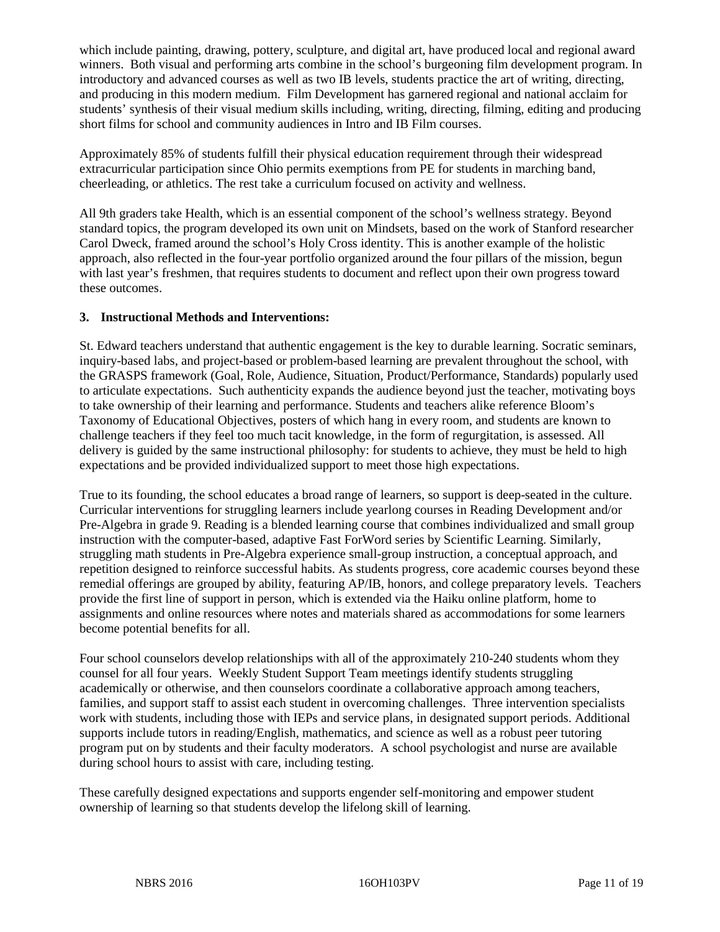which include painting, drawing, pottery, sculpture, and digital art, have produced local and regional award winners. Both visual and performing arts combine in the school's burgeoning film development program. In introductory and advanced courses as well as two IB levels, students practice the art of writing, directing, and producing in this modern medium. Film Development has garnered regional and national acclaim for students' synthesis of their visual medium skills including, writing, directing, filming, editing and producing short films for school and community audiences in Intro and IB Film courses.

Approximately 85% of students fulfill their physical education requirement through their widespread extracurricular participation since Ohio permits exemptions from PE for students in marching band, cheerleading, or athletics. The rest take a curriculum focused on activity and wellness.

All 9th graders take Health, which is an essential component of the school's wellness strategy. Beyond standard topics, the program developed its own unit on Mindsets, based on the work of Stanford researcher Carol Dweck, framed around the school's Holy Cross identity. This is another example of the holistic approach, also reflected in the four-year portfolio organized around the four pillars of the mission, begun with last year's freshmen, that requires students to document and reflect upon their own progress toward these outcomes.

# **3. Instructional Methods and Interventions:**

St. Edward teachers understand that authentic engagement is the key to durable learning. Socratic seminars, inquiry-based labs, and project-based or problem-based learning are prevalent throughout the school, with the GRASPS framework (Goal, Role, Audience, Situation, Product/Performance, Standards) popularly used to articulate expectations. Such authenticity expands the audience beyond just the teacher, motivating boys to take ownership of their learning and performance. Students and teachers alike reference Bloom's Taxonomy of Educational Objectives, posters of which hang in every room, and students are known to challenge teachers if they feel too much tacit knowledge, in the form of regurgitation, is assessed. All delivery is guided by the same instructional philosophy: for students to achieve, they must be held to high expectations and be provided individualized support to meet those high expectations.

True to its founding, the school educates a broad range of learners, so support is deep-seated in the culture. Curricular interventions for struggling learners include yearlong courses in Reading Development and/or Pre-Algebra in grade 9. Reading is a blended learning course that combines individualized and small group instruction with the computer-based, adaptive Fast ForWord series by Scientific Learning. Similarly, struggling math students in Pre-Algebra experience small-group instruction, a conceptual approach, and repetition designed to reinforce successful habits. As students progress, core academic courses beyond these remedial offerings are grouped by ability, featuring AP/IB, honors, and college preparatory levels. Teachers provide the first line of support in person, which is extended via the Haiku online platform, home to assignments and online resources where notes and materials shared as accommodations for some learners become potential benefits for all.

Four school counselors develop relationships with all of the approximately 210-240 students whom they counsel for all four years. Weekly Student Support Team meetings identify students struggling academically or otherwise, and then counselors coordinate a collaborative approach among teachers, families, and support staff to assist each student in overcoming challenges. Three intervention specialists work with students, including those with IEPs and service plans, in designated support periods. Additional supports include tutors in reading/English, mathematics, and science as well as a robust peer tutoring program put on by students and their faculty moderators. A school psychologist and nurse are available during school hours to assist with care, including testing.

These carefully designed expectations and supports engender self-monitoring and empower student ownership of learning so that students develop the lifelong skill of learning.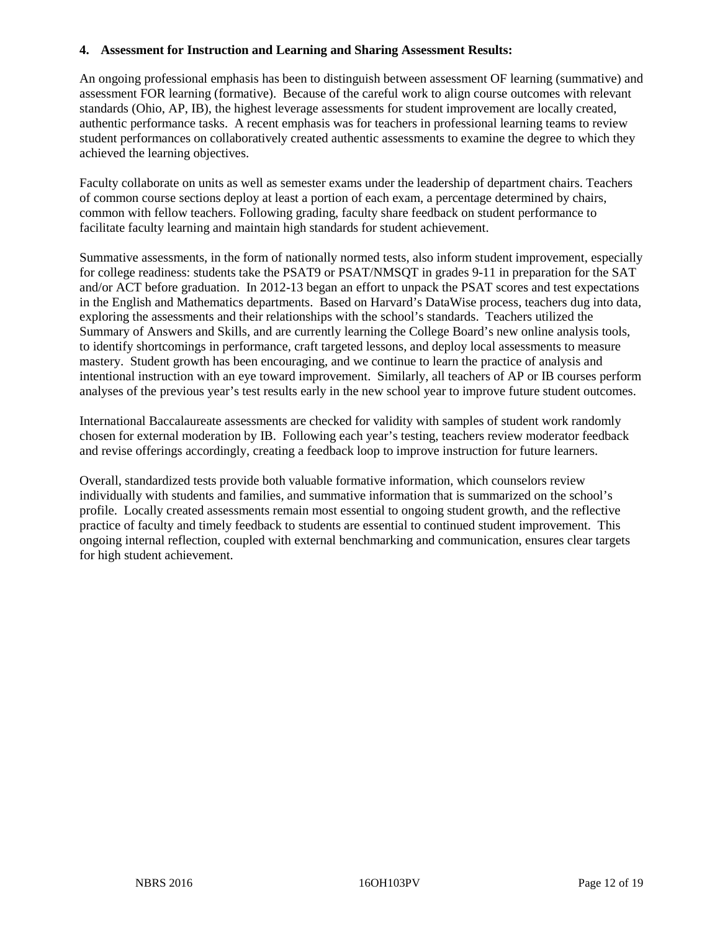#### **4. Assessment for Instruction and Learning and Sharing Assessment Results:**

An ongoing professional emphasis has been to distinguish between assessment OF learning (summative) and assessment FOR learning (formative). Because of the careful work to align course outcomes with relevant standards (Ohio, AP, IB), the highest leverage assessments for student improvement are locally created, authentic performance tasks. A recent emphasis was for teachers in professional learning teams to review student performances on collaboratively created authentic assessments to examine the degree to which they achieved the learning objectives.

Faculty collaborate on units as well as semester exams under the leadership of department chairs. Teachers of common course sections deploy at least a portion of each exam, a percentage determined by chairs, common with fellow teachers. Following grading, faculty share feedback on student performance to facilitate faculty learning and maintain high standards for student achievement.

Summative assessments, in the form of nationally normed tests, also inform student improvement, especially for college readiness: students take the PSAT9 or PSAT/NMSQT in grades 9-11 in preparation for the SAT and/or ACT before graduation. In 2012-13 began an effort to unpack the PSAT scores and test expectations in the English and Mathematics departments. Based on Harvard's DataWise process, teachers dug into data, exploring the assessments and their relationships with the school's standards. Teachers utilized the Summary of Answers and Skills, and are currently learning the College Board's new online analysis tools, to identify shortcomings in performance, craft targeted lessons, and deploy local assessments to measure mastery. Student growth has been encouraging, and we continue to learn the practice of analysis and intentional instruction with an eye toward improvement. Similarly, all teachers of AP or IB courses perform analyses of the previous year's test results early in the new school year to improve future student outcomes.

International Baccalaureate assessments are checked for validity with samples of student work randomly chosen for external moderation by IB. Following each year's testing, teachers review moderator feedback and revise offerings accordingly, creating a feedback loop to improve instruction for future learners.

Overall, standardized tests provide both valuable formative information, which counselors review individually with students and families, and summative information that is summarized on the school's profile. Locally created assessments remain most essential to ongoing student growth, and the reflective practice of faculty and timely feedback to students are essential to continued student improvement. This ongoing internal reflection, coupled with external benchmarking and communication, ensures clear targets for high student achievement.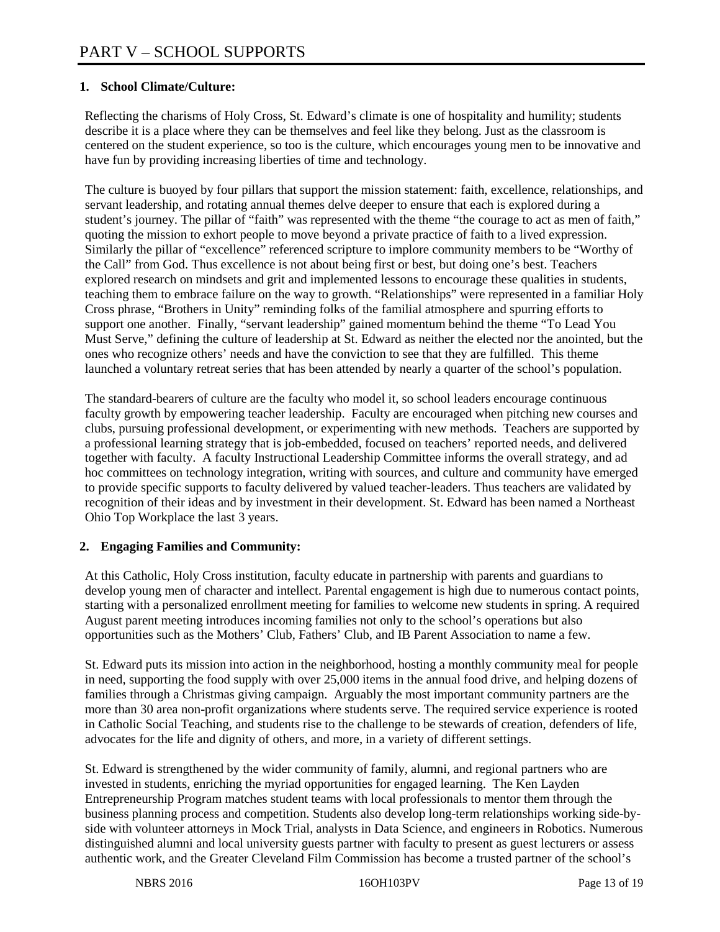### **1. School Climate/Culture:**

Reflecting the charisms of Holy Cross, St. Edward's climate is one of hospitality and humility; students describe it is a place where they can be themselves and feel like they belong. Just as the classroom is centered on the student experience, so too is the culture, which encourages young men to be innovative and have fun by providing increasing liberties of time and technology.

The culture is buoyed by four pillars that support the mission statement: faith, excellence, relationships, and servant leadership, and rotating annual themes delve deeper to ensure that each is explored during a student's journey. The pillar of "faith" was represented with the theme "the courage to act as men of faith," quoting the mission to exhort people to move beyond a private practice of faith to a lived expression. Similarly the pillar of "excellence" referenced scripture to implore community members to be "Worthy of the Call" from God. Thus excellence is not about being first or best, but doing one's best. Teachers explored research on mindsets and grit and implemented lessons to encourage these qualities in students, teaching them to embrace failure on the way to growth. "Relationships" were represented in a familiar Holy Cross phrase, "Brothers in Unity" reminding folks of the familial atmosphere and spurring efforts to support one another. Finally, "servant leadership" gained momentum behind the theme "To Lead You Must Serve," defining the culture of leadership at St. Edward as neither the elected nor the anointed, but the ones who recognize others' needs and have the conviction to see that they are fulfilled. This theme launched a voluntary retreat series that has been attended by nearly a quarter of the school's population.

The standard-bearers of culture are the faculty who model it, so school leaders encourage continuous faculty growth by empowering teacher leadership. Faculty are encouraged when pitching new courses and clubs, pursuing professional development, or experimenting with new methods. Teachers are supported by a professional learning strategy that is job-embedded, focused on teachers' reported needs, and delivered together with faculty. A faculty Instructional Leadership Committee informs the overall strategy, and ad hoc committees on technology integration, writing with sources, and culture and community have emerged to provide specific supports to faculty delivered by valued teacher-leaders. Thus teachers are validated by recognition of their ideas and by investment in their development. St. Edward has been named a Northeast Ohio Top Workplace the last 3 years.

#### **2. Engaging Families and Community:**

At this Catholic, Holy Cross institution, faculty educate in partnership with parents and guardians to develop young men of character and intellect. Parental engagement is high due to numerous contact points, starting with a personalized enrollment meeting for families to welcome new students in spring. A required August parent meeting introduces incoming families not only to the school's operations but also opportunities such as the Mothers' Club, Fathers' Club, and IB Parent Association to name a few.

St. Edward puts its mission into action in the neighborhood, hosting a monthly community meal for people in need, supporting the food supply with over 25,000 items in the annual food drive, and helping dozens of families through a Christmas giving campaign. Arguably the most important community partners are the more than 30 area non-profit organizations where students serve. The required service experience is rooted in Catholic Social Teaching, and students rise to the challenge to be stewards of creation, defenders of life, advocates for the life and dignity of others, and more, in a variety of different settings.

St. Edward is strengthened by the wider community of family, alumni, and regional partners who are invested in students, enriching the myriad opportunities for engaged learning. The Ken Layden Entrepreneurship Program matches student teams with local professionals to mentor them through the business planning process and competition. Students also develop long-term relationships working side-byside with volunteer attorneys in Mock Trial, analysts in Data Science, and engineers in Robotics. Numerous distinguished alumni and local university guests partner with faculty to present as guest lecturers or assess authentic work, and the Greater Cleveland Film Commission has become a trusted partner of the school's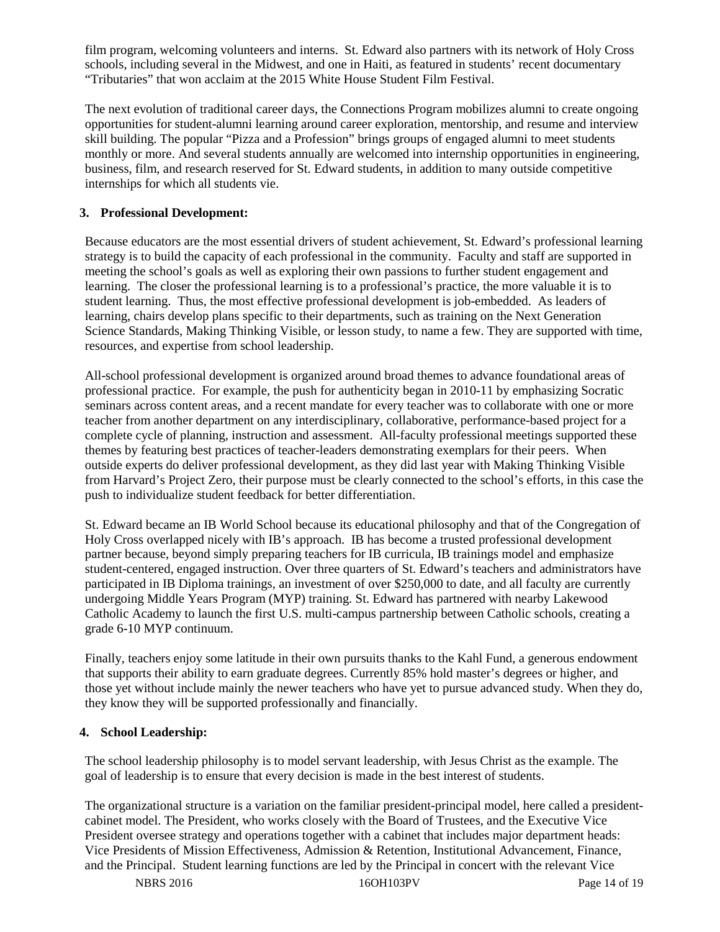film program, welcoming volunteers and interns. St. Edward also partners with its network of Holy Cross schools, including several in the Midwest, and one in Haiti, as featured in students' recent documentary "Tributaries" that won acclaim at the 2015 White House Student Film Festival.

The next evolution of traditional career days, the Connections Program mobilizes alumni to create ongoing opportunities for student-alumni learning around career exploration, mentorship, and resume and interview skill building. The popular "Pizza and a Profession" brings groups of engaged alumni to meet students monthly or more. And several students annually are welcomed into internship opportunities in engineering, business, film, and research reserved for St. Edward students, in addition to many outside competitive internships for which all students vie.

### **3. Professional Development:**

Because educators are the most essential drivers of student achievement, St. Edward's professional learning strategy is to build the capacity of each professional in the community. Faculty and staff are supported in meeting the school's goals as well as exploring their own passions to further student engagement and learning. The closer the professional learning is to a professional's practice, the more valuable it is to student learning. Thus, the most effective professional development is job-embedded. As leaders of learning, chairs develop plans specific to their departments, such as training on the Next Generation Science Standards, Making Thinking Visible, or lesson study, to name a few. They are supported with time, resources, and expertise from school leadership.

All-school professional development is organized around broad themes to advance foundational areas of professional practice. For example, the push for authenticity began in 2010-11 by emphasizing Socratic seminars across content areas, and a recent mandate for every teacher was to collaborate with one or more teacher from another department on any interdisciplinary, collaborative, performance-based project for a complete cycle of planning, instruction and assessment. All-faculty professional meetings supported these themes by featuring best practices of teacher-leaders demonstrating exemplars for their peers. When outside experts do deliver professional development, as they did last year with Making Thinking Visible from Harvard's Project Zero, their purpose must be clearly connected to the school's efforts, in this case the push to individualize student feedback for better differentiation.

St. Edward became an IB World School because its educational philosophy and that of the Congregation of Holy Cross overlapped nicely with IB's approach. IB has become a trusted professional development partner because, beyond simply preparing teachers for IB curricula, IB trainings model and emphasize student-centered, engaged instruction. Over three quarters of St. Edward's teachers and administrators have participated in IB Diploma trainings, an investment of over \$250,000 to date, and all faculty are currently undergoing Middle Years Program (MYP) training. St. Edward has partnered with nearby Lakewood Catholic Academy to launch the first U.S. multi-campus partnership between Catholic schools, creating a grade 6-10 MYP continuum.

Finally, teachers enjoy some latitude in their own pursuits thanks to the Kahl Fund, a generous endowment that supports their ability to earn graduate degrees. Currently 85% hold master's degrees or higher, and those yet without include mainly the newer teachers who have yet to pursue advanced study. When they do, they know they will be supported professionally and financially.

#### **4. School Leadership:**

The school leadership philosophy is to model servant leadership, with Jesus Christ as the example. The goal of leadership is to ensure that every decision is made in the best interest of students.

The organizational structure is a variation on the familiar president-principal model, here called a presidentcabinet model. The President, who works closely with the Board of Trustees, and the Executive Vice President oversee strategy and operations together with a cabinet that includes major department heads: Vice Presidents of Mission Effectiveness, Admission & Retention, Institutional Advancement, Finance, and the Principal. Student learning functions are led by the Principal in concert with the relevant Vice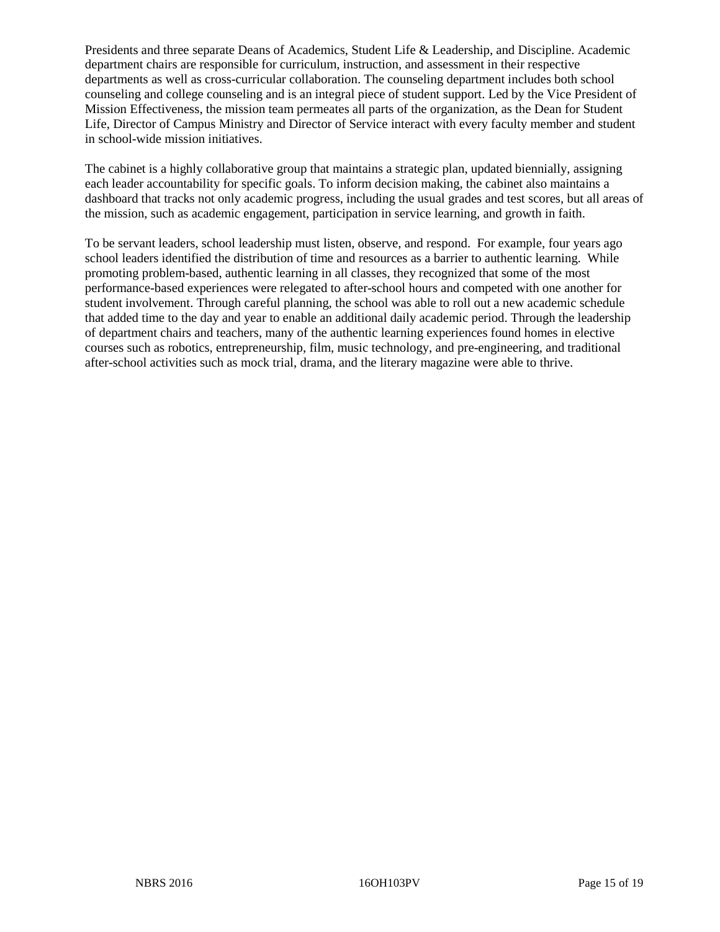Presidents and three separate Deans of Academics, Student Life & Leadership, and Discipline. Academic department chairs are responsible for curriculum, instruction, and assessment in their respective departments as well as cross-curricular collaboration. The counseling department includes both school counseling and college counseling and is an integral piece of student support. Led by the Vice President of Mission Effectiveness, the mission team permeates all parts of the organization, as the Dean for Student Life, Director of Campus Ministry and Director of Service interact with every faculty member and student in school-wide mission initiatives.

The cabinet is a highly collaborative group that maintains a strategic plan, updated biennially, assigning each leader accountability for specific goals. To inform decision making, the cabinet also maintains a dashboard that tracks not only academic progress, including the usual grades and test scores, but all areas of the mission, such as academic engagement, participation in service learning, and growth in faith.

To be servant leaders, school leadership must listen, observe, and respond. For example, four years ago school leaders identified the distribution of time and resources as a barrier to authentic learning. While promoting problem-based, authentic learning in all classes, they recognized that some of the most performance-based experiences were relegated to after-school hours and competed with one another for student involvement. Through careful planning, the school was able to roll out a new academic schedule that added time to the day and year to enable an additional daily academic period. Through the leadership of department chairs and teachers, many of the authentic learning experiences found homes in elective courses such as robotics, entrepreneurship, film, music technology, and pre-engineering, and traditional after-school activities such as mock trial, drama, and the literary magazine were able to thrive.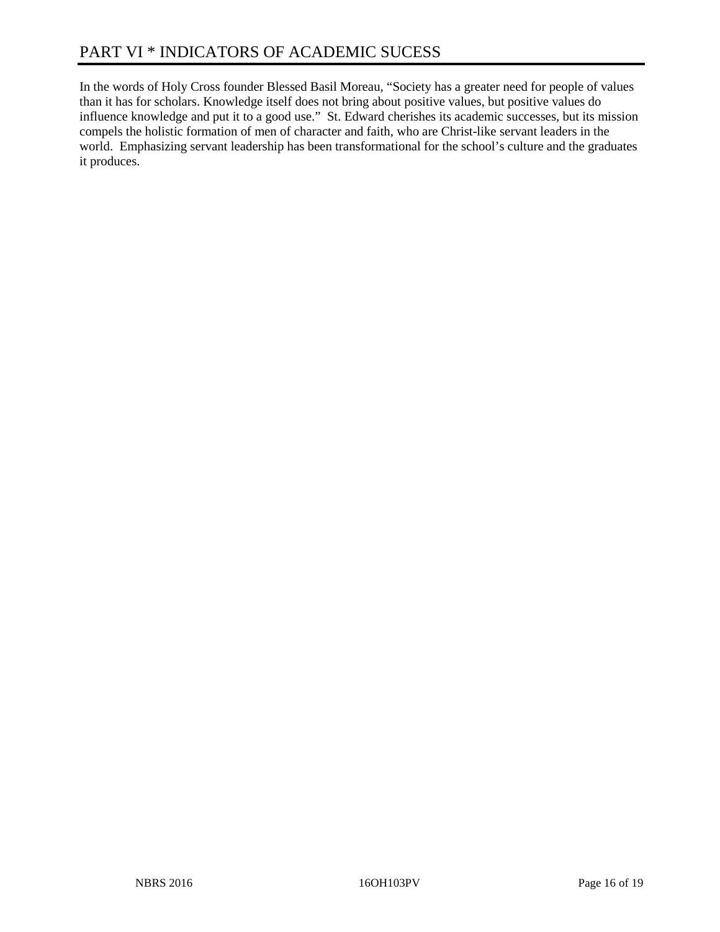In the words of Holy Cross founder Blessed Basil Moreau, "Society has a greater need for people of values than it has for scholars. Knowledge itself does not bring about positive values, but positive values do influence knowledge and put it to a good use." St. Edward cherishes its academic successes, but its mission compels the holistic formation of men of character and faith, who are Christ-like servant leaders in the world. Emphasizing servant leadership has been transformational for the school's culture and the graduates it produces.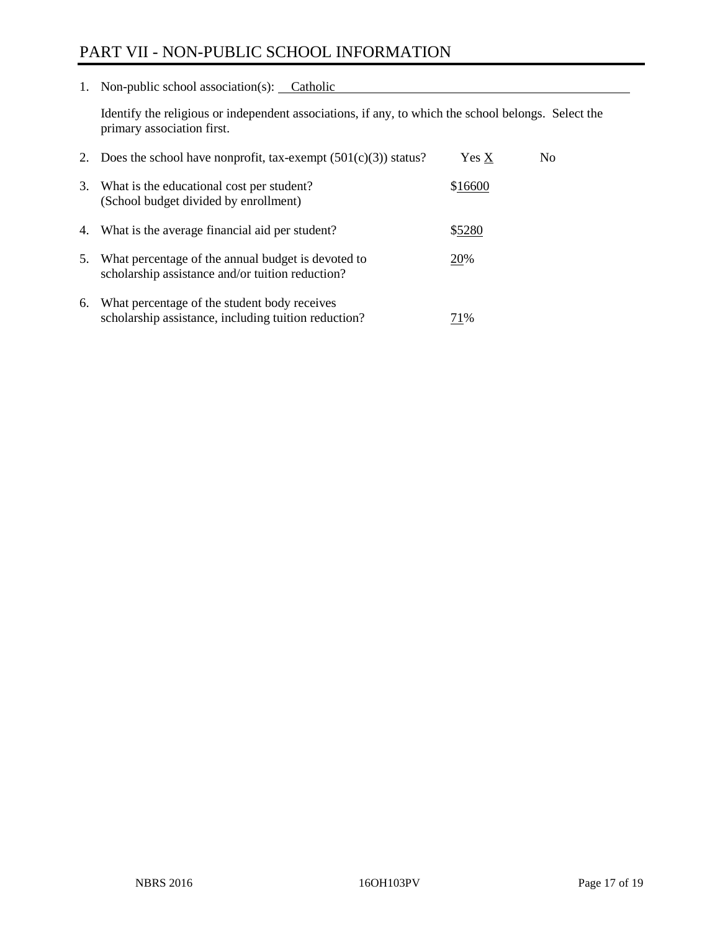# PART VII - NON-PUBLIC SCHOOL INFORMATION

1. Non-public school association(s): Catholic

Identify the religious or independent associations, if any, to which the school belongs. Select the primary association first.

| 2. | Does the school have nonprofit, tax-exempt $(501(c)(3))$ status?                                       | Yes X   | No. |
|----|--------------------------------------------------------------------------------------------------------|---------|-----|
| 3. | What is the educational cost per student?<br>(School budget divided by enrollment)                     | \$16600 |     |
|    | 4. What is the average financial aid per student?                                                      | \$5280  |     |
| 5. | What percentage of the annual budget is devoted to<br>scholarship assistance and/or tuition reduction? | 20%     |     |
| 6. | What percentage of the student body receives<br>scholarship assistance, including tuition reduction?   | 71%     |     |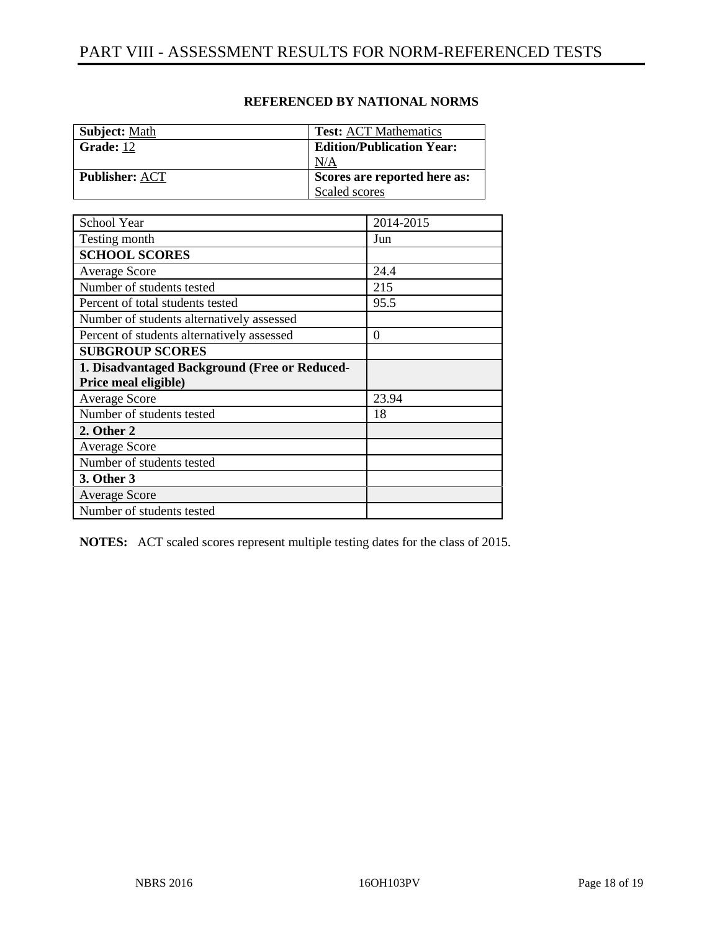| <b>Subject:</b> Math  | <b>Test: ACT Mathematics</b>     |
|-----------------------|----------------------------------|
| Grade: 12             | <b>Edition/Publication Year:</b> |
|                       | N/A                              |
| <b>Publisher: ACT</b> | Scores are reported here as:     |
|                       | Scaled scores                    |

### **REFERENCED BY NATIONAL NORMS**

| School Year                                   | 2014-2015 |
|-----------------------------------------------|-----------|
| Testing month                                 | Jun       |
| <b>SCHOOL SCORES</b>                          |           |
| <b>Average Score</b>                          | 24.4      |
| Number of students tested                     | 215       |
| Percent of total students tested              | 95.5      |
| Number of students alternatively assessed     |           |
| Percent of students alternatively assessed    | $\theta$  |
| <b>SUBGROUP SCORES</b>                        |           |
| 1. Disadvantaged Background (Free or Reduced- |           |
| Price meal eligible)                          |           |
| <b>Average Score</b>                          | 23.94     |
| Number of students tested                     | 18        |
| 2. Other 2                                    |           |
| <b>Average Score</b>                          |           |
| Number of students tested                     |           |
| 3. Other 3                                    |           |
| <b>Average Score</b>                          |           |
| Number of students tested                     |           |

**NOTES:** ACT scaled scores represent multiple testing dates for the class of 2015.